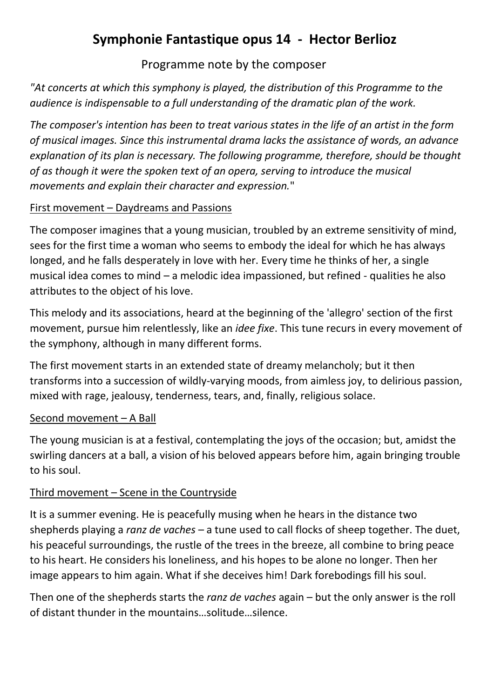# **Symphonie Fantastique opus 14 - Hector Berlioz**

Programme note by the composer

*"At concerts at which this symphony is played, the distribution of this Programme to the audience is indispensable to a full understanding of the dramatic plan of the work.* 

*The composer's intention has been to treat various states in the life of an artist in the form of musical images. Since this instrumental drama lacks the assistance of words, an advance explanation of its plan is necessary. The following programme, therefore, should be thought of as though it were the spoken text of an opera, serving to introduce the musical movements and explain their character and expression.*"

### First movement – Daydreams and Passions

The composer imagines that a young musician, troubled by an extreme sensitivity of mind, sees for the first time a woman who seems to embody the ideal for which he has always longed, and he falls desperately in love with her. Every time he thinks of her, a single musical idea comes to mind – a melodic idea impassioned, but refined - qualities he also attributes to the object of his love.

This melody and its associations, heard at the beginning of the 'allegro' section of the first movement, pursue him relentlessly, like an *idee fixe*. This tune recurs in every movement of the symphony, although in many different forms.

The first movement starts in an extended state of dreamy melancholy; but it then transforms into a succession of wildly-varying moods, from aimless joy, to delirious passion, mixed with rage, jealousy, tenderness, tears, and, finally, religious solace.

## Second movement – A Ball

The young musician is at a festival, contemplating the joys of the occasion; but, amidst the swirling dancers at a ball, a vision of his beloved appears before him, again bringing trouble to his soul.

## Third movement – Scene in the Countryside

It is a summer evening. He is peacefully musing when he hears in the distance two shepherds playing a *ranz de vaches* – a tune used to call flocks of sheep together. The duet, his peaceful surroundings, the rustle of the trees in the breeze, all combine to bring peace to his heart. He considers his loneliness, and his hopes to be alone no longer. Then her image appears to him again. What if she deceives him! Dark forebodings fill his soul.

Then one of the shepherds starts the *ranz de vaches* again – but the only answer is the roll of distant thunder in the mountains…solitude…silence.